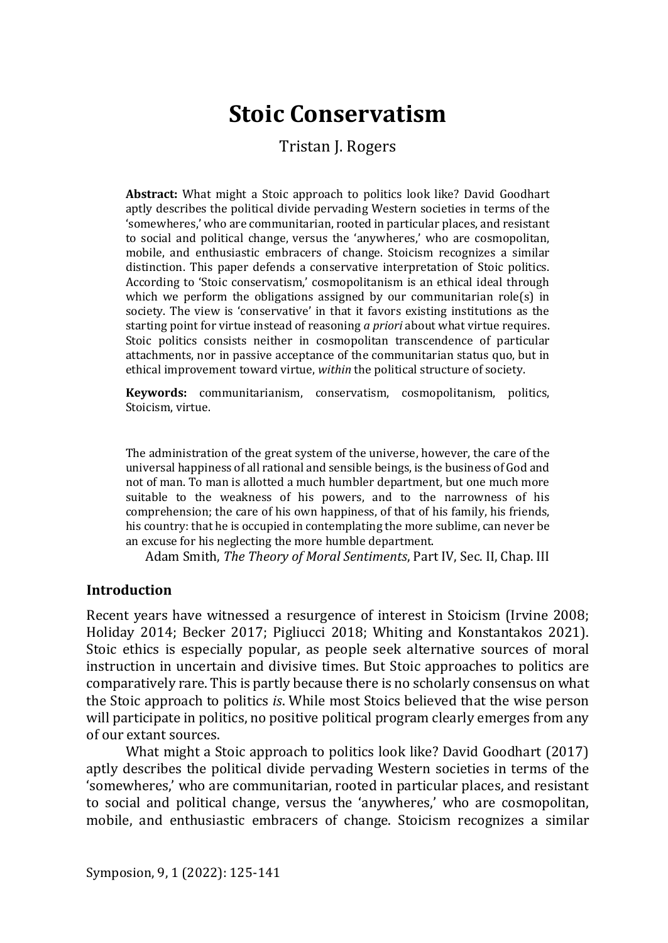# **Stoic Conservatism**

Tristan J. Rogers

**Abstract:** What might a Stoic approach to politics look like? David Goodhart aptly describes the political divide pervading Western societies in terms of the 'somewheres,' who are communitarian, rooted in particular places, and resistant to social and political change, versus the 'anywheres,' who are cosmopolitan, mobile, and enthusiastic embracers of change. Stoicism recognizes a similar distinction. This paper defends a conservative interpretation of Stoic politics. According to 'Stoic conservatism,' cosmopolitanism is an ethical ideal through which we perform the obligations assigned by our communitarian role(s) in society. The view is 'conservative' in that it favors existing institutions as the starting point for virtue instead of reasoning *a priori* about what virtue requires. Stoic politics consists neither in cosmopolitan transcendence of particular attachments, nor in passive acceptance of the communitarian status quo, but in ethical improvement toward virtue, *within* the political structure of society.

**Keywords:** communitarianism, conservatism, cosmopolitanism, politics, Stoicism, virtue.

The administration of the great system of the universe, however, the care of the universal happiness of all rational and sensible beings, is the business of God and not of man. To man is allotted a much humbler department, but one much more suitable to the weakness of his powers, and to the narrowness of his comprehension; the care of his own happiness, of that of his family, his friends, his country: that he is occupied in contemplating the more sublime, can never be an excuse for his neglecting the more humble department.

Adam Smith, *The Theory of Moral Sentiments*, Part IV, Sec. II, Chap. III

#### **Introduction**

Recent years have witnessed a resurgence of interest in Stoicism (Irvine 2008; Holiday 2014; Becker 2017; Pigliucci 2018; Whiting and Konstantakos 2021). Stoic ethics is especially popular, as people seek alternative sources of moral instruction in uncertain and divisive times. But Stoic approaches to politics are comparatively rare. This is partly because there is no scholarly consensus on what the Stoic approach to politics *is*. While most Stoics believed that the wise person will participate in politics, no positive political program clearly emerges from any of our extant sources.

What might a Stoic approach to politics look like? David Goodhart (2017) aptly describes the political divide pervading Western societies in terms of the 'somewheres,' who are communitarian, rooted in particular places, and resistant to social and political change, versus the 'anywheres,' who are cosmopolitan, mobile, and enthusiastic embracers of change. Stoicism recognizes a similar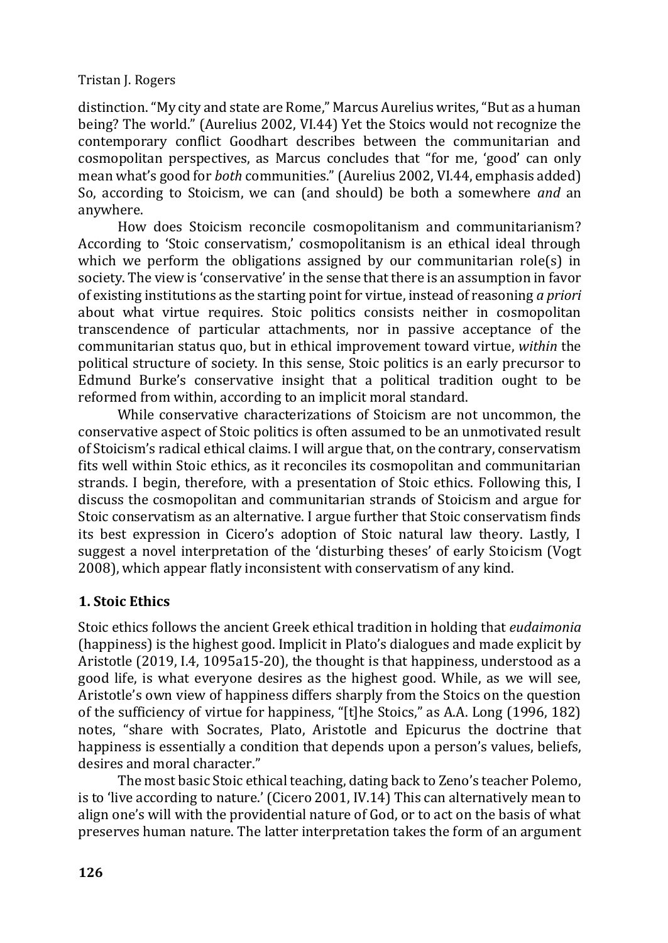distinction. "My city and state are Rome," Marcus Aurelius writes, "But as a human being? The world." (Aurelius 2002, VI.44) Yet the Stoics would not recognize the contemporary conflict Goodhart describes between the communitarian and cosmopolitan perspectives, as Marcus concludes that "for me, 'good' can only mean what's good for *both* communities." (Aurelius 2002, VI.44, emphasis added) So, according to Stoicism, we can (and should) be both a somewhere *and* an anywhere.

How does Stoicism reconcile cosmopolitanism and communitarianism? According to 'Stoic conservatism,' cosmopolitanism is an ethical ideal through which we perform the obligations assigned by our communitarian role(s) in society. The view is 'conservative' in the sense that there is an assumption in favor of existing institutions as the starting point for virtue, instead of reasoning *a priori*  about what virtue requires. Stoic politics consists neither in cosmopolitan transcendence of particular attachments, nor in passive acceptance of the communitarian status quo, but in ethical improvement toward virtue, *within* the political structure of society. In this sense, Stoic politics is an early precursor to Edmund Burke's conservative insight that a political tradition ought to be reformed from within, according to an implicit moral standard.

While conservative characterizations of Stoicism are not uncommon, the conservative aspect of Stoic politics is often assumed to be an unmotivated result of Stoicism's radical ethical claims. I will argue that, on the contrary, conservatism fits well within Stoic ethics, as it reconciles its cosmopolitan and communitarian strands. I begin, therefore, with a presentation of Stoic ethics. Following this, I discuss the cosmopolitan and communitarian strands of Stoicism and argue for Stoic conservatism as an alternative. I argue further that Stoic conservatism finds its best expression in Cicero's adoption of Stoic natural law theory. Lastly, I suggest a novel interpretation of the 'disturbing theses' of early Stoicism (Vogt 2008), which appear flatly inconsistent with conservatism of any kind.

## **1. Stoic Ethics**

Stoic ethics follows the ancient Greek ethical tradition in holding that *eudaimonia*  (happiness) is the highest good. Implicit in Plato's dialogues and made explicit by Aristotle (2019, I.4, 1095a15-20), the thought is that happiness, understood as a good life, is what everyone desires as the highest good. While, as we will see, Aristotle's own view of happiness differs sharply from the Stoics on the question of the sufficiency of virtue for happiness, "[t]he Stoics," as A.A. Long (1996, 182) notes, "share with Socrates, Plato, Aristotle and Epicurus the doctrine that happiness is essentially a condition that depends upon a person's values, beliefs, desires and moral character."

The most basic Stoic ethical teaching, dating back to Zeno's teacher Polemo, is to 'live according to nature.' (Cicero 2001, IV.14) This can alternatively mean to align one's will with the providential nature of God, or to act on the basis of what preserves human nature. The latter interpretation takes the form of an argument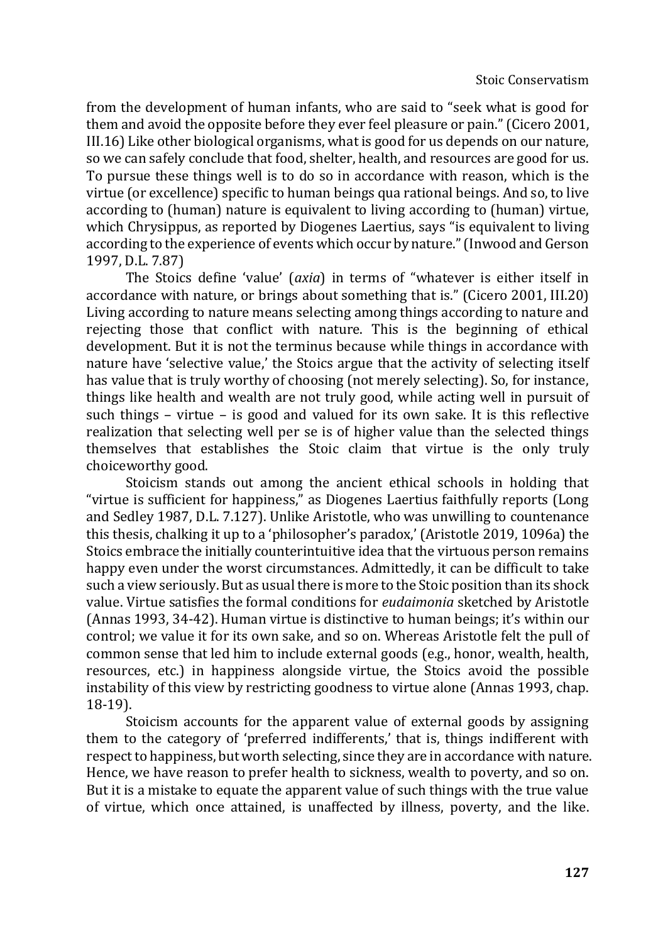from the development of human infants, who are said to "seek what is good for them and avoid the opposite before they ever feel pleasure or pain." (Cicero 2001, III.16) Like other biological organisms, what is good for us depends on our nature, so we can safely conclude that food, shelter, health, and resources are good for us. To pursue these things well is to do so in accordance with reason, which is the virtue (or excellence) specific to human beings qua rational beings. And so, to live according to (human) nature is equivalent to living according to (human) virtue, which Chrysippus, as reported by Diogenes Laertius, says "is equivalent to living according to the experience of events which occur by nature." (Inwood and Gerson 1997, D.L. 7.87)

The Stoics define 'value' (*axia*) in terms of "whatever is either itself in accordance with nature, or brings about something that is." (Cicero 2001, III.20) Living according to nature means selecting among things according to nature and rejecting those that conflict with nature. This is the beginning of ethical development. But it is not the terminus because while things in accordance with nature have 'selective value,' the Stoics argue that the activity of selecting itself has value that is truly worthy of choosing (not merely selecting). So, for instance, things like health and wealth are not truly good, while acting well in pursuit of such things – virtue – is good and valued for its own sake. It is this reflective realization that selecting well per se is of higher value than the selected things themselves that establishes the Stoic claim that virtue is the only truly choiceworthy good.

Stoicism stands out among the ancient ethical schools in holding that "virtue is sufficient for happiness," as Diogenes Laertius faithfully reports (Long and Sedley 1987, D.L. 7.127). Unlike Aristotle, who was unwilling to countenance this thesis, chalking it up to a 'philosopher's paradox,' (Aristotle 2019, 1096a) the Stoics embrace the initially counterintuitive idea that the virtuous person remains happy even under the worst circumstances. Admittedly, it can be difficult to take such a view seriously. But as usual there is more to the Stoic position than its shock value. Virtue satisfies the formal conditions for *eudaimonia* sketched by Aristotle (Annas 1993, 34-42). Human virtue is distinctive to human beings; it's within our control; we value it for its own sake, and so on. Whereas Aristotle felt the pull of common sense that led him to include external goods (e.g., honor, wealth, health, resources, etc.) in happiness alongside virtue, the Stoics avoid the possible instability of this view by restricting goodness to virtue alone (Annas 1993, chap. 18-19).

Stoicism accounts for the apparent value of external goods by assigning them to the category of 'preferred indifferents,' that is, things indifferent with respect to happiness, but worth selecting, since they are in accordance with nature. Hence, we have reason to prefer health to sickness, wealth to poverty, and so on. But it is a mistake to equate the apparent value of such things with the true value of virtue, which once attained, is unaffected by illness, poverty, and the like.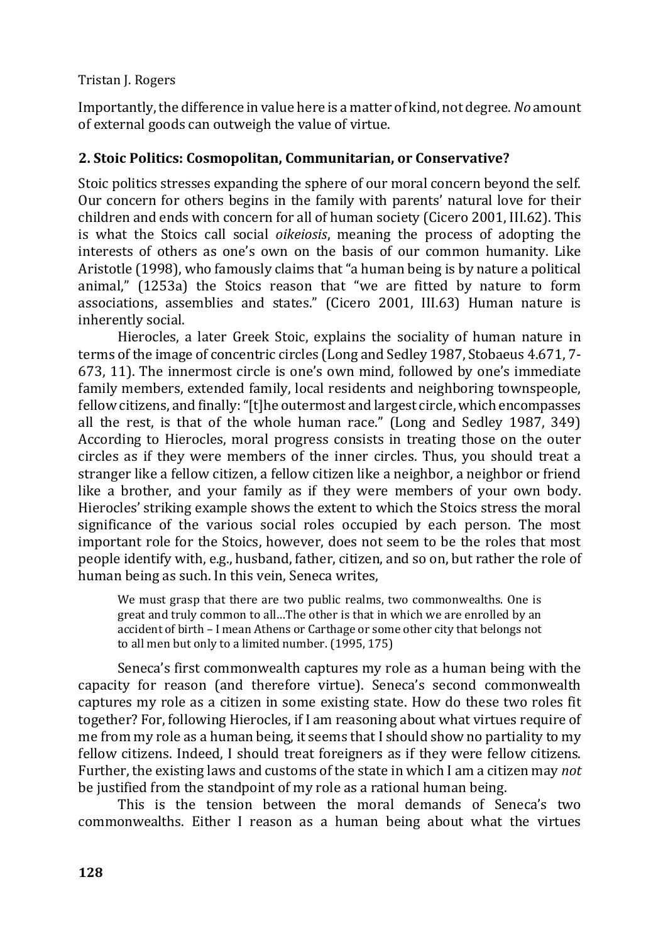Importantly, the difference in value here is a matter of kind, not degree. *No* amount of external goods can outweigh the value of virtue.

## **2. Stoic Politics: Cosmopolitan, Communitarian, or Conservative?**

Stoic politics stresses expanding the sphere of our moral concern beyond the self. Our concern for others begins in the family with parents' natural love for their children and ends with concern for all of human society (Cicero 2001, III.62). This is what the Stoics call social *oikeiosis*, meaning the process of adopting the interests of others as one's own on the basis of our common humanity. Like Aristotle (1998), who famously claims that "a human being is by nature a political animal," (1253a) the Stoics reason that "we are fitted by nature to form associations, assemblies and states." (Cicero 2001, III.63) Human nature is inherently social.

Hierocles, a later Greek Stoic, explains the sociality of human nature in terms of the image of concentric circles (Long and Sedley 1987, Stobaeus 4.671, 7- 673, 11). The innermost circle is one's own mind, followed by one's immediate family members, extended family, local residents and neighboring townspeople, fellow citizens, and finally: "[t]he outermost and largest circle, which encompasses all the rest, is that of the whole human race." (Long and Sedley 1987, 349) According to Hierocles, moral progress consists in treating those on the outer circles as if they were members of the inner circles. Thus, you should treat a stranger like a fellow citizen, a fellow citizen like a neighbor, a neighbor or friend like a brother, and your family as if they were members of your own body. Hierocles' striking example shows the extent to which the Stoics stress the moral significance of the various social roles occupied by each person. The most important role for the Stoics, however, does not seem to be the roles that most people identify with, e.g., husband, father, citizen, and so on, but rather the role of human being as such. In this vein, Seneca writes,

We must grasp that there are two public realms, two commonwealths. One is great and truly common to all…The other is that in which we are enrolled by an accident of birth – I mean Athens or Carthage or some other city that belongs not to all men but only to a limited number. (1995, 175)

Seneca's first commonwealth captures my role as a human being with the capacity for reason (and therefore virtue). Seneca's second commonwealth captures my role as a citizen in some existing state. How do these two roles fit together? For, following Hierocles, if I am reasoning about what virtues require of me from my role as a human being, it seems that I should show no partiality to my fellow citizens. Indeed, I should treat foreigners as if they were fellow citizens. Further, the existing laws and customs of the state in which I am a citizen may *not* be justified from the standpoint of my role as a rational human being.

This is the tension between the moral demands of Seneca's two commonwealths. Either I reason as a human being about what the virtues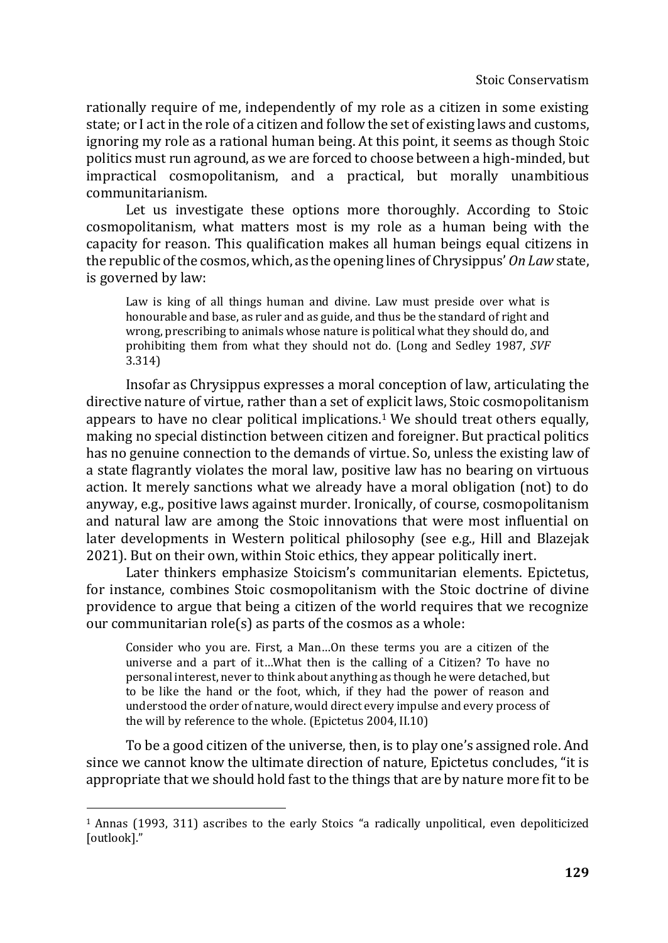rationally require of me, independently of my role as a citizen in some existing state; or I act in the role of a citizen and follow the set of existing laws and customs, ignoring my role as a rational human being. At this point, it seems as though Stoic politics must run aground, as we are forced to choose between a high-minded, but impractical cosmopolitanism, and a practical, but morally unambitious communitarianism.

Let us investigate these options more thoroughly. According to Stoic cosmopolitanism, what matters most is my role as a human being with the capacity for reason. This qualification makes all human beings equal citizens in the republic of the cosmos, which, as the opening lines of Chrysippus' *On Law* state, is governed by law:

Law is king of all things human and divine. Law must preside over what is honourable and base, as ruler and as guide, and thus be the standard of right and wrong, prescribing to animals whose nature is political what they should do, and prohibiting them from what they should not do. (Long and Sedley 1987, *SVF*  3.314)

Insofar as Chrysippus expresses a moral conception of law, articulating the directive nature of virtue, rather than a set of explicit laws, Stoic cosmopolitanism appears to have no clear political implications.<sup>1</sup> We should treat others equally, making no special distinction between citizen and foreigner. But practical politics has no genuine connection to the demands of virtue. So, unless the existing law of a state flagrantly violates the moral law, positive law has no bearing on virtuous action. It merely sanctions what we already have a moral obligation (not) to do anyway, e.g., positive laws against murder. Ironically, of course, cosmopolitanism and natural law are among the Stoic innovations that were most influential on later developments in Western political philosophy (see e.g., Hill and Blazejak 2021). But on their own, within Stoic ethics, they appear politically inert.

Later thinkers emphasize Stoicism's communitarian elements. Epictetus, for instance, combines Stoic cosmopolitanism with the Stoic doctrine of divine providence to argue that being a citizen of the world requires that we recognize our communitarian role(s) as parts of the cosmos as a whole:

Consider who you are. First, a Man…On these terms you are a citizen of the universe and a part of it…What then is the calling of a Citizen? To have no personal interest, never to think about anything as though he were detached, but to be like the hand or the foot, which, if they had the power of reason and understood the order of nature, would direct every impulse and every process of the will by reference to the whole. (Epictetus 2004, II.10)

To be a good citizen of the universe, then, is to play one's assigned role. And since we cannot know the ultimate direction of nature, Epictetus concludes, "it is appropriate that we should hold fast to the things that are by nature more fit to be

<sup>&</sup>lt;sup>1</sup> Annas (1993, 311) ascribes to the early Stoics "a radically unpolitical, even depoliticized [outlook]."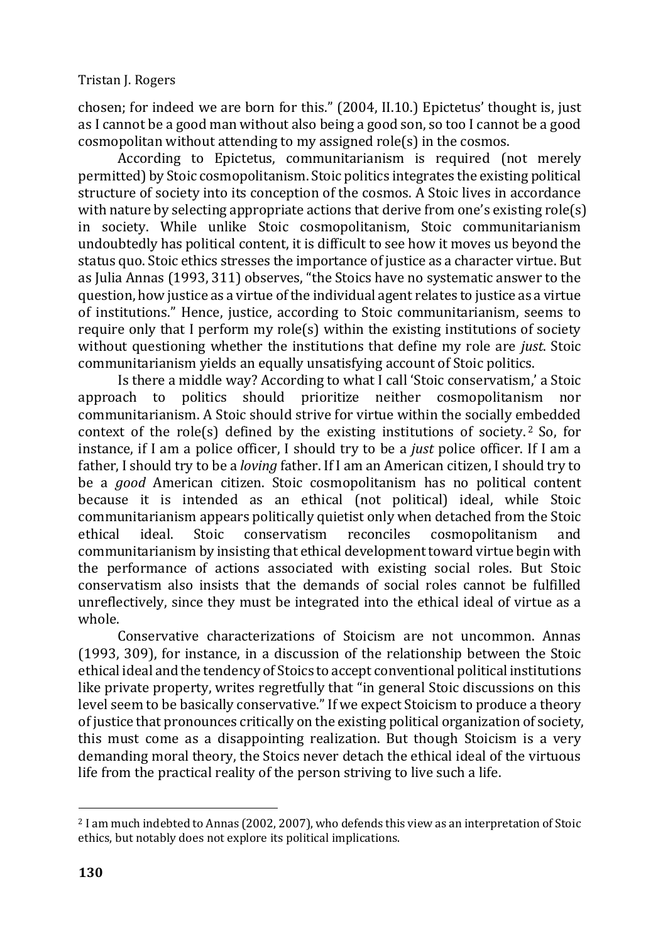chosen; for indeed we are born for this." (2004, II.10.) Epictetus' thought is, just as I cannot be a good man without also being a good son, so too I cannot be a good cosmopolitan without attending to my assigned role(s) in the cosmos.

According to Epictetus, communitarianism is required (not merely permitted) by Stoic cosmopolitanism. Stoic politics integrates the existing political structure of society into its conception of the cosmos. A Stoic lives in accordance with nature by selecting appropriate actions that derive from one's existing role(s) in society. While unlike Stoic cosmopolitanism, Stoic communitarianism undoubtedly has political content, it is difficult to see how it moves us beyond the status quo. Stoic ethics stresses the importance of justice as a character virtue. But as Julia Annas (1993, 311) observes, "the Stoics have no systematic answer to the question, how justice as a virtue of the individual agent relates to justice as a virtue of institutions." Hence, justice, according to Stoic communitarianism, seems to require only that I perform my role(s) within the existing institutions of society without questioning whether the institutions that define my role are *just*. Stoic communitarianism yields an equally unsatisfying account of Stoic politics.

Is there a middle way? According to what I call 'Stoic conservatism,' a Stoic approach to politics should prioritize neither cosmopolitanism nor communitarianism. A Stoic should strive for virtue within the socially embedded context of the role(s) defined by the existing institutions of society.<sup>2</sup> So, for instance, if I am a police officer, I should try to be a *just* police officer. If I am a father, I should try to be a *loving* father. If I am an American citizen, I should try to be a *good* American citizen. Stoic cosmopolitanism has no political content because it is intended as an ethical (not political) ideal, while Stoic communitarianism appears politically quietist only when detached from the Stoic ethical ideal. Stoic conservatism reconciles cosmopolitanism and communitarianism by insisting that ethical development toward virtue begin with the performance of actions associated with existing social roles. But Stoic conservatism also insists that the demands of social roles cannot be fulfilled unreflectively, since they must be integrated into the ethical ideal of virtue as a whole.

Conservative characterizations of Stoicism are not uncommon. Annas (1993, 309), for instance, in a discussion of the relationship between the Stoic ethical ideal and the tendency of Stoics to accept conventional political institutions like private property, writes regretfully that "in general Stoic discussions on this level seem to be basically conservative." If we expect Stoicism to produce a theory of justice that pronounces critically on the existing political organization of society, this must come as a disappointing realization. But though Stoicism is a very demanding moral theory, the Stoics never detach the ethical ideal of the virtuous life from the practical reality of the person striving to live such a life.

<sup>2</sup> I am much indebted to Annas (2002, 2007), who defends this view as an interpretation of Stoic ethics, but notably does not explore its political implications.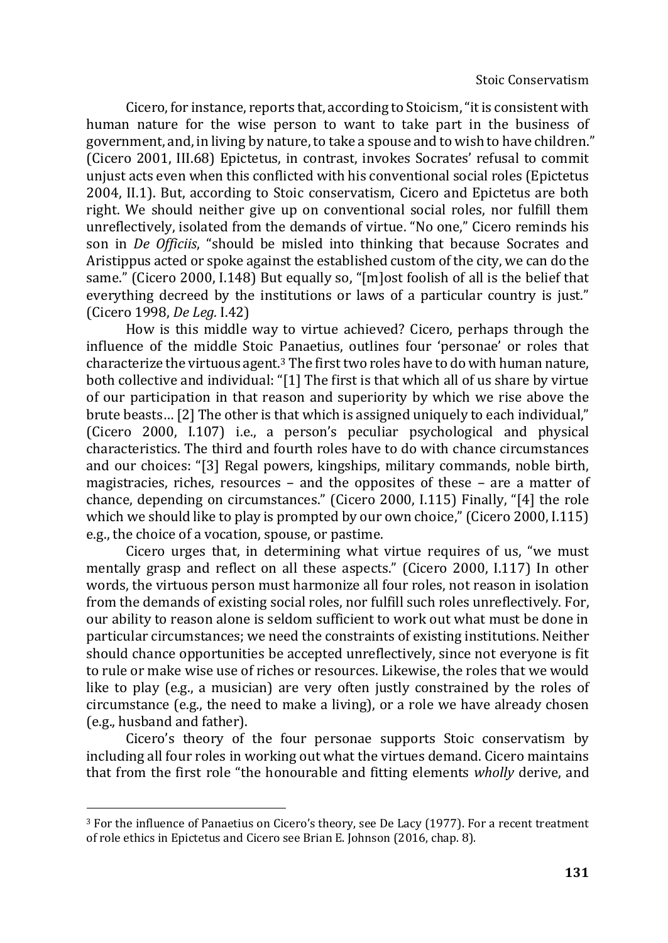Cicero, for instance, reports that, according to Stoicism, "it is consistent with human nature for the wise person to want to take part in the business of government, and, in living by nature, to take a spouse and to wish to have children." (Cicero 2001, III.68) Epictetus, in contrast, invokes Socrates' refusal to commit unjust acts even when this conflicted with his conventional social roles (Epictetus 2004, II.1). But, according to Stoic conservatism, Cicero and Epictetus are both right. We should neither give up on conventional social roles, nor fulfill them unreflectively, isolated from the demands of virtue. "No one," Cicero reminds his son in *De Officiis*, "should be misled into thinking that because Socrates and Aristippus acted or spoke against the established custom of the city, we can do the same." (Cicero 2000, I.148) But equally so, "[m]ost foolish of all is the belief that everything decreed by the institutions or laws of a particular country is just." (Cicero 1998, *De Leg.* I.42)

How is this middle way to virtue achieved? Cicero, perhaps through the influence of the middle Stoic Panaetius, outlines four 'personae' or roles that characterize the virtuous agent. $3$  The first two roles have to do with human nature, both collective and individual: "[1] The first is that which all of us share by virtue of our participation in that reason and superiority by which we rise above the brute beasts… [2] The other is that which is assigned uniquely to each individual," (Cicero 2000, I.107) i.e., a person's peculiar psychological and physical characteristics. The third and fourth roles have to do with chance circumstances and our choices: "[3] Regal powers, kingships, military commands, noble birth, magistracies, riches, resources – and the opposites of these – are a matter of chance, depending on circumstances." (Cicero 2000, I.115) Finally, "[4] the role which we should like to play is prompted by our own choice," (Cicero 2000, I.115) e.g., the choice of a vocation, spouse, or pastime.

Cicero urges that, in determining what virtue requires of us, "we must mentally grasp and reflect on all these aspects." (Cicero 2000, I.117) In other words, the virtuous person must harmonize all four roles, not reason in isolation from the demands of existing social roles, nor fulfill such roles unreflectively. For, our ability to reason alone is seldom sufficient to work out what must be done in particular circumstances; we need the constraints of existing institutions. Neither should chance opportunities be accepted unreflectively, since not everyone is fit to rule or make wise use of riches or resources. Likewise, the roles that we would like to play (e.g., a musician) are very often justly constrained by the roles of circumstance (e.g., the need to make a living), or a role we have already chosen (e.g., husband and father).

Cicero's theory of the four personae supports Stoic conservatism by including all four roles in working out what the virtues demand. Cicero maintains that from the first role "the honourable and fitting elements *wholly* derive, and

<sup>3</sup> For the influence of Panaetius on Cicero's theory, see De Lacy (1977). For a recent treatment of role ethics in Epictetus and Cicero see Brian E. Johnson (2016, chap. 8).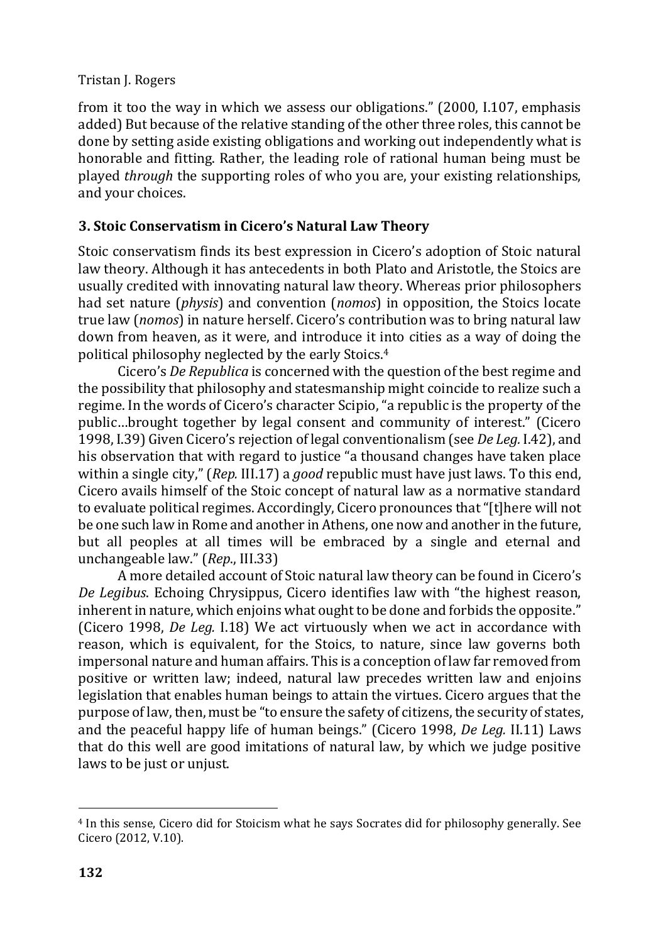from it too the way in which we assess our obligations." (2000, I.107, emphasis added) But because of the relative standing of the other three roles, this cannot be done by setting aside existing obligations and working out independently what is honorable and fitting. Rather, the leading role of rational human being must be played *through* the supporting roles of who you are, your existing relationships, and your choices.

# **3. Stoic Conservatism in Cicero's Natural Law Theory**

Stoic conservatism finds its best expression in Cicero's adoption of Stoic natural law theory. Although it has antecedents in both Plato and Aristotle, the Stoics are usually credited with innovating natural law theory. Whereas prior philosophers had set nature (*physis*) and convention (*nomos*) in opposition, the Stoics locate true law (*nomos*) in nature herself. Cicero's contribution was to bring natural law down from heaven, as it were, and introduce it into cities as a way of doing the political philosophy neglected by the early Stoics.<sup>4</sup>

Cicero's *De Republica* is concerned with the question of the best regime and the possibility that philosophy and statesmanship might coincide to realize such a regime. In the words of Cicero's character Scipio, "a republic is the property of the public…brought together by legal consent and community of interest." (Cicero 1998, I.39) Given Cicero's rejection of legal conventionalism (see *De Leg.* I.42), and his observation that with regard to justice "a thousand changes have taken place within a single city," (*Rep.* III.17) a *good* republic must have just laws. To this end, Cicero avails himself of the Stoic concept of natural law as a normative standard to evaluate political regimes. Accordingly, Cicero pronounces that "[t]here will not be one such law in Rome and another in Athens, one now and another in the future, but all peoples at all times will be embraced by a single and eternal and unchangeable law." (*Rep*., III.33)

A more detailed account of Stoic natural law theory can be found in Cicero's *De Legibus*. Echoing Chrysippus, Cicero identifies law with "the highest reason, inherent in nature, which enjoins what ought to be done and forbids the opposite." (Cicero 1998, *De Leg.* I.18) We act virtuously when we act in accordance with reason, which is equivalent, for the Stoics, to nature, since law governs both impersonal nature and human affairs. This is a conception of law far removed from positive or written law; indeed, natural law precedes written law and enjoins legislation that enables human beings to attain the virtues. Cicero argues that the purpose of law, then, must be "to ensure the safety of citizens, the security of states, and the peaceful happy life of human beings." (Cicero 1998, *De Leg.* II.11) Laws that do this well are good imitations of natural law, by which we judge positive laws to be just or unjust.

<sup>4</sup> In this sense, Cicero did for Stoicism what he says Socrates did for philosophy generally. See Cicero (2012, V.10).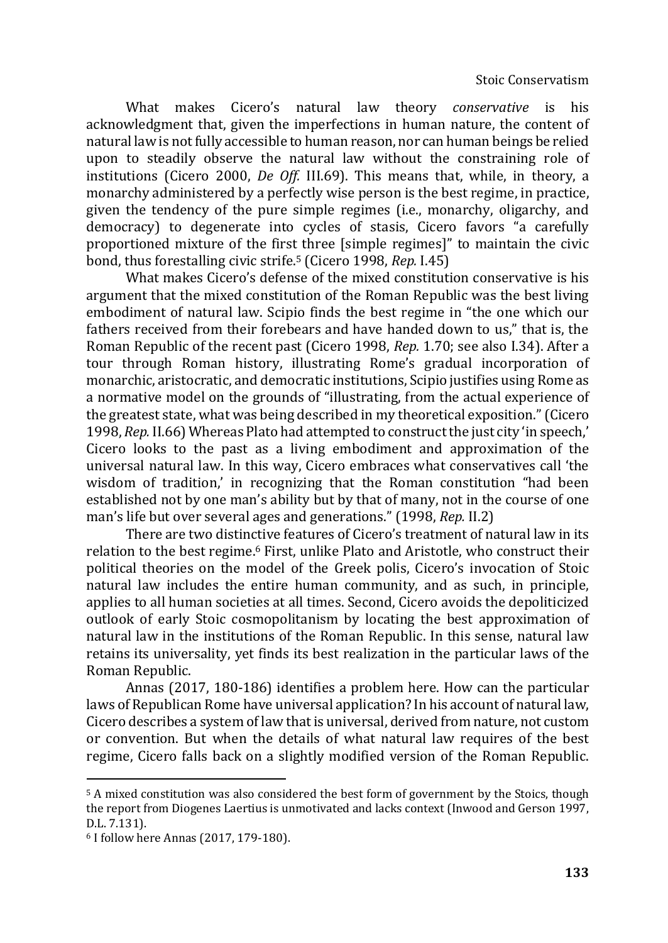What makes Cicero's natural law theory *conservative* is his acknowledgment that, given the imperfections in human nature, the content of natural law is not fully accessible to human reason, nor can human beings be relied upon to steadily observe the natural law without the constraining role of institutions (Cicero 2000, *De Off.* III.69). This means that, while, in theory, a monarchy administered by a perfectly wise person is the best regime, in practice, given the tendency of the pure simple regimes (i.e., monarchy, oligarchy, and democracy) to degenerate into cycles of stasis, Cicero favors "a carefully proportioned mixture of the first three [simple regimes]" to maintain the civic bond, thus forestalling civic strife.<sup>5</sup> (Cicero 1998, *Rep.* I.45)

What makes Cicero's defense of the mixed constitution conservative is his argument that the mixed constitution of the Roman Republic was the best living embodiment of natural law. Scipio finds the best regime in "the one which our fathers received from their forebears and have handed down to us," that is, the Roman Republic of the recent past (Cicero 1998, *Rep.* 1.70; see also I.34). After a tour through Roman history, illustrating Rome's gradual incorporation of monarchic, aristocratic, and democratic institutions, Scipio justifies using Rome as a normative model on the grounds of "illustrating, from the actual experience of the greatest state, what was being described in my theoretical exposition." (Cicero 1998, *Rep.* II.66) Whereas Plato had attempted to construct the just city 'in speech,' Cicero looks to the past as a living embodiment and approximation of the universal natural law. In this way, Cicero embraces what conservatives call 'the wisdom of tradition,' in recognizing that the Roman constitution "had been established not by one man's ability but by that of many, not in the course of one man's life but over several ages and generations." (1998, *Rep.* II.2)

There are two distinctive features of Cicero's treatment of natural law in its relation to the best regime.<sup>6</sup> First, unlike Plato and Aristotle, who construct their political theories on the model of the Greek polis, Cicero's invocation of Stoic natural law includes the entire human community, and as such, in principle, applies to all human societies at all times. Second, Cicero avoids the depoliticized outlook of early Stoic cosmopolitanism by locating the best approximation of natural law in the institutions of the Roman Republic. In this sense, natural law retains its universality, yet finds its best realization in the particular laws of the Roman Republic.

Annas (2017, 180-186) identifies a problem here. How can the particular laws of Republican Rome have universal application? In his account of natural law, Cicero describes a system of law that is universal, derived from nature, not custom or convention. But when the details of what natural law requires of the best regime, Cicero falls back on a slightly modified version of the Roman Republic.

<sup>5</sup> A mixed constitution was also considered the best form of government by the Stoics, though the report from Diogenes Laertius is unmotivated and lacks context (Inwood and Gerson 1997, D.L. 7.131).

<sup>6</sup> I follow here Annas (2017, 179-180).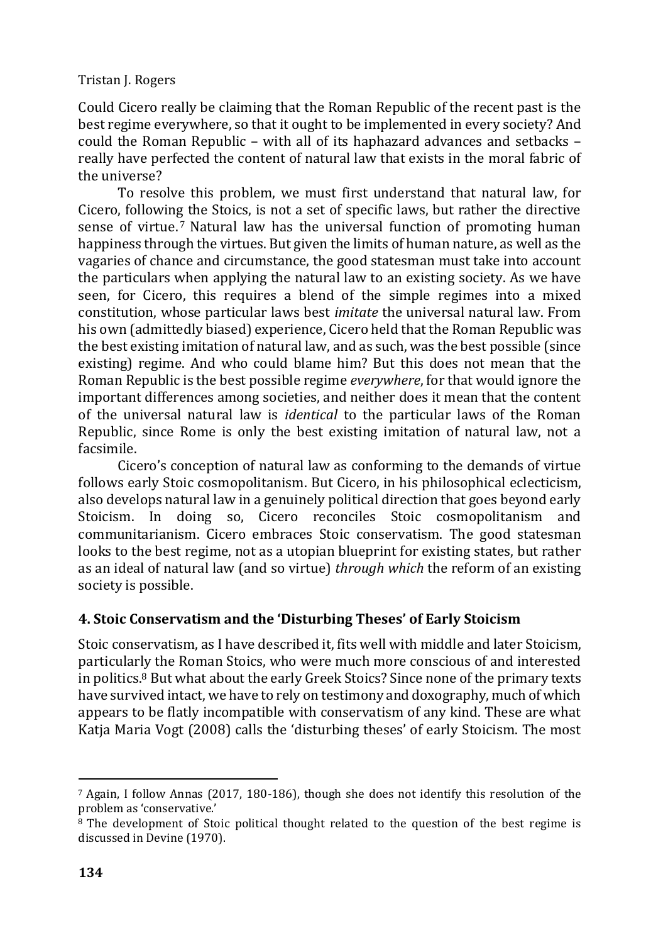Could Cicero really be claiming that the Roman Republic of the recent past is the best regime everywhere, so that it ought to be implemented in every society? And could the Roman Republic – with all of its haphazard advances and setbacks – really have perfected the content of natural law that exists in the moral fabric of the universe?

To resolve this problem, we must first understand that natural law, for Cicero, following the Stoics, is not a set of specific laws, but rather the directive sense of virtue.<sup>7</sup> Natural law has the universal function of promoting human happiness through the virtues. But given the limits of human nature, as well as the vagaries of chance and circumstance, the good statesman must take into account the particulars when applying the natural law to an existing society. As we have seen, for Cicero, this requires a blend of the simple regimes into a mixed constitution, whose particular laws best *imitate* the universal natural law. From his own (admittedly biased) experience, Cicero held that the Roman Republic was the best existing imitation of natural law, and as such, was the best possible (since existing) regime. And who could blame him? But this does not mean that the Roman Republic is the best possible regime *everywhere*, for that would ignore the important differences among societies, and neither does it mean that the content of the universal natural law is *identical* to the particular laws of the Roman Republic, since Rome is only the best existing imitation of natural law, not a facsimile.

Cicero's conception of natural law as conforming to the demands of virtue follows early Stoic cosmopolitanism. But Cicero, in his philosophical eclecticism, also develops natural law in a genuinely political direction that goes beyond early Stoicism. In doing so, Cicero reconciles Stoic cosmopolitanism and communitarianism. Cicero embraces Stoic conservatism. The good statesman looks to the best regime, not as a utopian blueprint for existing states, but rather as an ideal of natural law (and so virtue) *through which* the reform of an existing society is possible.

# **4. Stoic Conservatism and the 'Disturbing Theses' of Early Stoicism**

Stoic conservatism, as I have described it, fits well with middle and later Stoicism, particularly the Roman Stoics, who were much more conscious of and interested in politics.<sup>8</sup> But what about the early Greek Stoics? Since none of the primary texts have survived intact, we have to rely on testimony and doxography, much of which appears to be flatly incompatible with conservatism of any kind. These are what Katja Maria Vogt (2008) calls the 'disturbing theses' of early Stoicism. The most

<sup>7</sup> Again, I follow Annas (2017, 180-186), though she does not identify this resolution of the problem as 'conservative.'

<sup>8</sup> The development of Stoic political thought related to the question of the best regime is discussed in Devine (1970).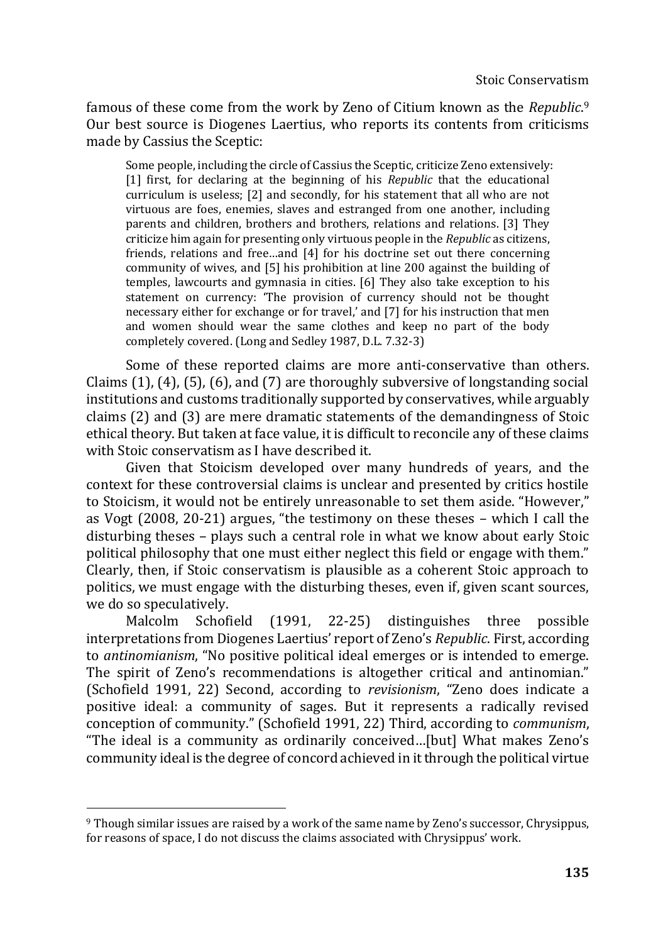famous of these come from the work by Zeno of Citium known as the *Republic*. 9 Our best source is Diogenes Laertius, who reports its contents from criticisms made by Cassius the Sceptic:

Some people, including the circle of Cassius the Sceptic, criticize Zeno extensively: [1] first, for declaring at the beginning of his *Republic* that the educational curriculum is useless; [2] and secondly, for his statement that all who are not virtuous are foes, enemies, slaves and estranged from one another, including parents and children, brothers and brothers, relations and relations. [3] They criticize him again for presenting only virtuous people in the *Republic* as citizens, friends, relations and free…and [4] for his doctrine set out there concerning community of wives, and [5] his prohibition at line 200 against the building of temples, lawcourts and gymnasia in cities. [6] They also take exception to his statement on currency: 'The provision of currency should not be thought necessary either for exchange or for travel,' and [7] for his instruction that men and women should wear the same clothes and keep no part of the body completely covered. (Long and Sedley 1987, D.L. 7.32-3)

Some of these reported claims are more anti-conservative than others. Claims (1), (4), (5), (6), and (7) are thoroughly subversive of longstanding social institutions and customs traditionally supported by conservatives, while arguably claims (2) and (3) are mere dramatic statements of the demandingness of Stoic ethical theory. But taken at face value, it is difficult to reconcile any of these claims with Stoic conservatism as I have described it.

Given that Stoicism developed over many hundreds of years, and the context for these controversial claims is unclear and presented by critics hostile to Stoicism, it would not be entirely unreasonable to set them aside. "However," as Vogt (2008, 20-21) argues, "the testimony on these theses – which I call the disturbing theses – plays such a central role in what we know about early Stoic political philosophy that one must either neglect this field or engage with them." Clearly, then, if Stoic conservatism is plausible as a coherent Stoic approach to politics, we must engage with the disturbing theses, even if, given scant sources, we do so speculatively.

Malcolm Schofield (1991, 22-25) distinguishes three possible interpretations from Diogenes Laertius' report of Zeno's *Republic*. First, according to *antinomianism*, "No positive political ideal emerges or is intended to emerge. The spirit of Zeno's recommendations is altogether critical and antinomian." (Schofield 1991, 22) Second, according to *revisionism*, "Zeno does indicate a positive ideal: a community of sages. But it represents a radically revised conception of community." (Schofield 1991, 22) Third, according to *communism*, "The ideal is a community as ordinarily conceived…[but] What makes Zeno's community ideal is the degree of concord achieved in it through the political virtue

<sup>9</sup> Though similar issues are raised by a work of the same name by Zeno's successor, Chrysippus, for reasons of space, I do not discuss the claims associated with Chrysippus' work.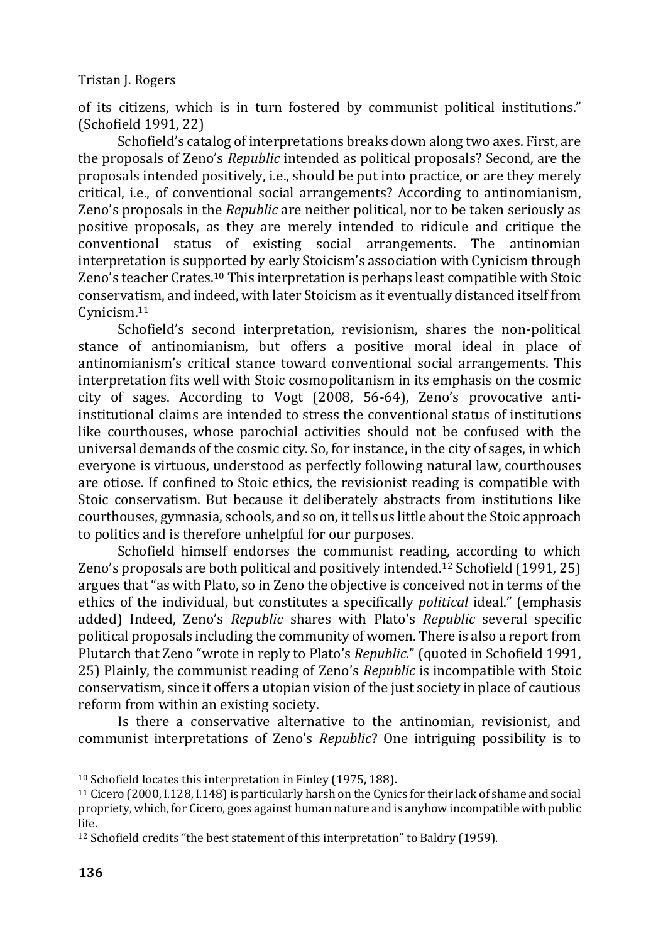of its citizens, which is in turn fostered by communist political institutions." (Schofield 1991, 22)

Schofield's catalog of interpretations breaks down along two axes. First, are the proposals of Zeno's *Republic* intended as political proposals? Second, are the proposals intended positively, i.e., should be put into practice, or are they merely critical, i.e., of conventional social arrangements? According to antinomianism, Zeno's proposals in the *Republic* are neither political, nor to be taken seriously as positive proposals, as they are merely intended to ridicule and critique the conventional status of existing social arrangements. The antinomian interpretation is supported by early Stoicism's association with Cynicism through Zeno's teacher Crates.<sup>10</sup> This interpretation is perhaps least compatible with Stoic conservatism, and indeed, with later Stoicism as it eventually distanced itself from Cynicism.<sup>11</sup>

Schofield's second interpretation, revisionism, shares the non-political stance of antinomianism, but offers a positive moral ideal in place of antinomianism's critical stance toward conventional social arrangements. This interpretation fits well with Stoic cosmopolitanism in its emphasis on the cosmic city of sages. According to Vogt (2008, 56-64), Zeno's provocative antiinstitutional claims are intended to stress the conventional status of institutions like courthouses, whose parochial activities should not be confused with the universal demands of the cosmic city. So, for instance, in the city of sages, in which everyone is virtuous, understood as perfectly following natural law, courthouses are otiose. If confined to Stoic ethics, the revisionist reading is compatible with Stoic conservatism. But because it deliberately abstracts from institutions like courthouses, gymnasia, schools, and so on, it tells us little about the Stoic approach to politics and is therefore unhelpful for our purposes.

Schofield himself endorses the communist reading, according to which Zeno's proposals are both political and positively intended.<sup>12</sup> Schofield (1991, 25) argues that "as with Plato, so in Zeno the objective is conceived not in terms of the ethics of the individual, but constitutes a specifically *political* ideal." (emphasis added) Indeed, Zeno's *Republic* shares with Plato's *Republic* several specific political proposals including the community of women. There is also a report from Plutarch that Zeno "wrote in reply to Plato's *Republic.*" (quoted in Schofield 1991, 25) Plainly, the communist reading of Zeno's *Republic* is incompatible with Stoic conservatism, since it offers a utopian vision of the just society in place of cautious reform from within an existing society.

Is there a conservative alternative to the antinomian, revisionist, and communist interpretations of Zeno's *Republic*? One intriguing possibility is to

<sup>10</sup> Schofield locates this interpretation in Finley (1975, 188).

<sup>11</sup> Cicero (2000, I.128, I.148) is particularly harsh on the Cynics for their lack of shame and social propriety, which, for Cicero, goes against human nature and is anyhow incompatible with public life.

<sup>&</sup>lt;sup>12</sup> Schofield credits "the best statement of this interpretation" to Baldry (1959).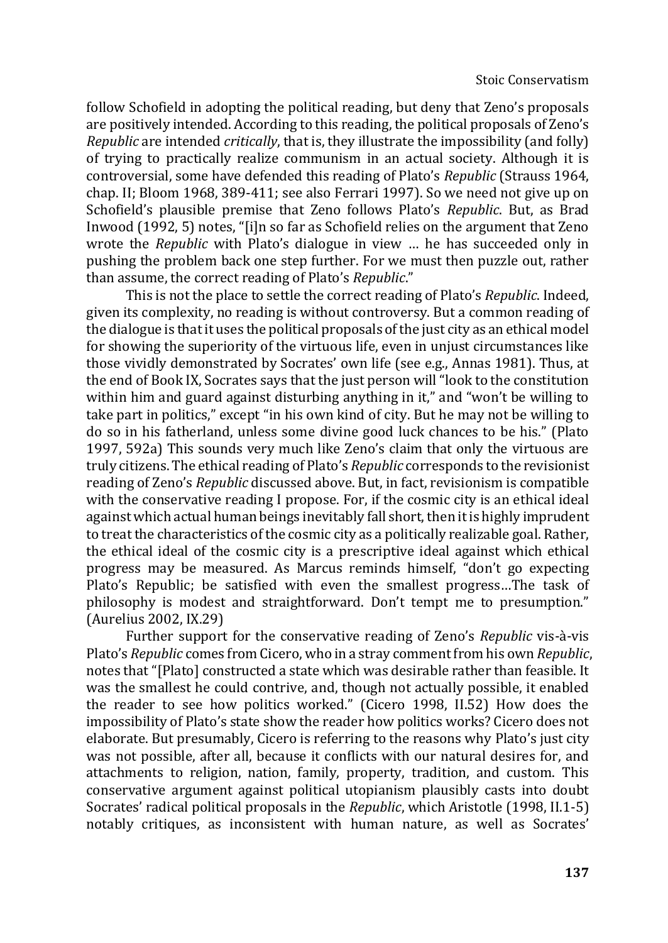follow Schofield in adopting the political reading, but deny that Zeno's proposals are positively intended. According to this reading, the political proposals of Zeno's *Republic* are intended *critically*, that is, they illustrate the impossibility (and folly) of trying to practically realize communism in an actual society. Although it is controversial, some have defended this reading of Plato's *Republic* (Strauss 1964, chap. II; Bloom 1968, 389-411; see also Ferrari 1997). So we need not give up on Schofield's plausible premise that Zeno follows Plato's *Republic*. But, as Brad Inwood (1992, 5) notes, "[i]n so far as Schofield relies on the argument that Zeno wrote the *Republic* with Plato's dialogue in view … he has succeeded only in pushing the problem back one step further. For we must then puzzle out, rather than assume, the correct reading of Plato's *Republic*."

This is not the place to settle the correct reading of Plato's *Republic*. Indeed, given its complexity, no reading is without controversy. But a common reading of the dialogue is that it uses the political proposals of the just city as an ethical model for showing the superiority of the virtuous life, even in unjust circumstances like those vividly demonstrated by Socrates' own life (see e.g., Annas 1981). Thus, at the end of Book IX, Socrates says that the just person will "look to the constitution within him and guard against disturbing anything in it," and "won't be willing to take part in politics," except "in his own kind of city. But he may not be willing to do so in his fatherland, unless some divine good luck chances to be his." (Plato 1997, 592a) This sounds very much like Zeno's claim that only the virtuous are truly citizens. The ethical reading of Plato's *Republic* corresponds to the revisionist reading of Zeno's *Republic* discussed above. But, in fact, revisionism is compatible with the conservative reading I propose. For, if the cosmic city is an ethical ideal against which actual human beings inevitably fall short, then it is highly imprudent to treat the characteristics of the cosmic city as a politically realizable goal. Rather, the ethical ideal of the cosmic city is a prescriptive ideal against which ethical progress may be measured. As Marcus reminds himself, "don't go expecting Plato's Republic; be satisfied with even the smallest progress…The task of philosophy is modest and straightforward. Don't tempt me to presumption." (Aurelius 2002, IX.29)

Further support for the conservative reading of Zeno's *Republic* vis-à-vis Plato's *Republic* comes from Cicero, who in a stray comment from his own *Republic*, notes that "[Plato] constructed a state which was desirable rather than feasible. It was the smallest he could contrive, and, though not actually possible, it enabled the reader to see how politics worked." (Cicero 1998, II.52) How does the impossibility of Plato's state show the reader how politics works? Cicero does not elaborate. But presumably, Cicero is referring to the reasons why Plato's just city was not possible, after all, because it conflicts with our natural desires for, and attachments to religion, nation, family, property, tradition, and custom. This conservative argument against political utopianism plausibly casts into doubt Socrates' radical political proposals in the *Republic*, which Aristotle (1998, II.1-5) notably critiques, as inconsistent with human nature, as well as Socrates'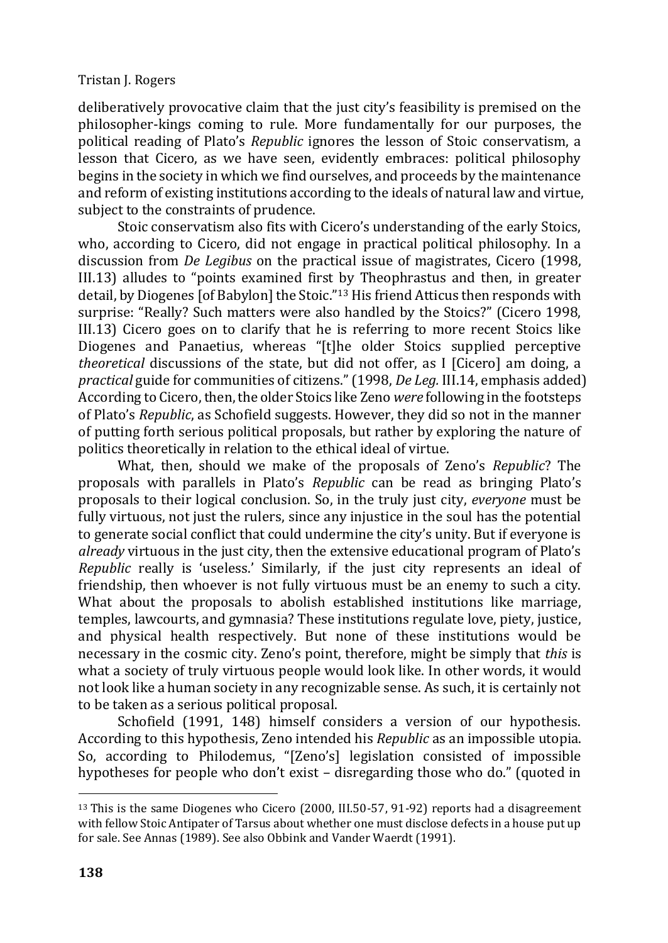deliberatively provocative claim that the just city's feasibility is premised on the philosopher-kings coming to rule. More fundamentally for our purposes, the political reading of Plato's *Republic* ignores the lesson of Stoic conservatism, a lesson that Cicero, as we have seen, evidently embraces: political philosophy begins in the society in which we find ourselves, and proceeds by the maintenance and reform of existing institutions according to the ideals of natural law and virtue, subject to the constraints of prudence.

Stoic conservatism also fits with Cicero's understanding of the early Stoics, who, according to Cicero, did not engage in practical political philosophy. In a discussion from *De Legibus* on the practical issue of magistrates, Cicero (1998, III.13) alludes to "points examined first by Theophrastus and then, in greater detail, by Diogenes [of Babylon] the Stoic."<sup>13</sup> His friend Atticus then responds with surprise: "Really? Such matters were also handled by the Stoics?" (Cicero 1998, III.13) Cicero goes on to clarify that he is referring to more recent Stoics like Diogenes and Panaetius, whereas "[t]he older Stoics supplied perceptive *theoretical* discussions of the state, but did not offer, as I [Cicero] am doing, a *practical* guide for communities of citizens." (1998, *De Leg.* III.14, emphasis added) According to Cicero, then, the older Stoics like Zeno *were* following in the footsteps of Plato's *Republic*, as Schofield suggests. However, they did so not in the manner of putting forth serious political proposals, but rather by exploring the nature of politics theoretically in relation to the ethical ideal of virtue.

What, then, should we make of the proposals of Zeno's *Republic*? The proposals with parallels in Plato's *Republic* can be read as bringing Plato's proposals to their logical conclusion. So, in the truly just city, *everyone* must be fully virtuous, not just the rulers, since any injustice in the soul has the potential to generate social conflict that could undermine the city's unity. But if everyone is *already* virtuous in the just city, then the extensive educational program of Plato's *Republic* really is 'useless.' Similarly, if the just city represents an ideal of friendship, then whoever is not fully virtuous must be an enemy to such a city. What about the proposals to abolish established institutions like marriage, temples, lawcourts, and gymnasia? These institutions regulate love, piety, justice, and physical health respectively. But none of these institutions would be necessary in the cosmic city. Zeno's point, therefore, might be simply that *this* is what a society of truly virtuous people would look like. In other words, it would not look like a human society in any recognizable sense. As such, it is certainly not to be taken as a serious political proposal.

Schofield (1991, 148) himself considers a version of our hypothesis. According to this hypothesis, Zeno intended his *Republic* as an impossible utopia. So, according to Philodemus, "[Zeno's] legislation consisted of impossible hypotheses for people who don't exist – disregarding those who do." (quoted in

<sup>&</sup>lt;sup>13</sup> This is the same Diogenes who Cicero (2000, III.50-57, 91-92) reports had a disagreement with fellow Stoic Antipater of Tarsus about whether one must disclose defects in a house put up for sale. See Annas (1989). See also Obbink and Vander Waerdt (1991).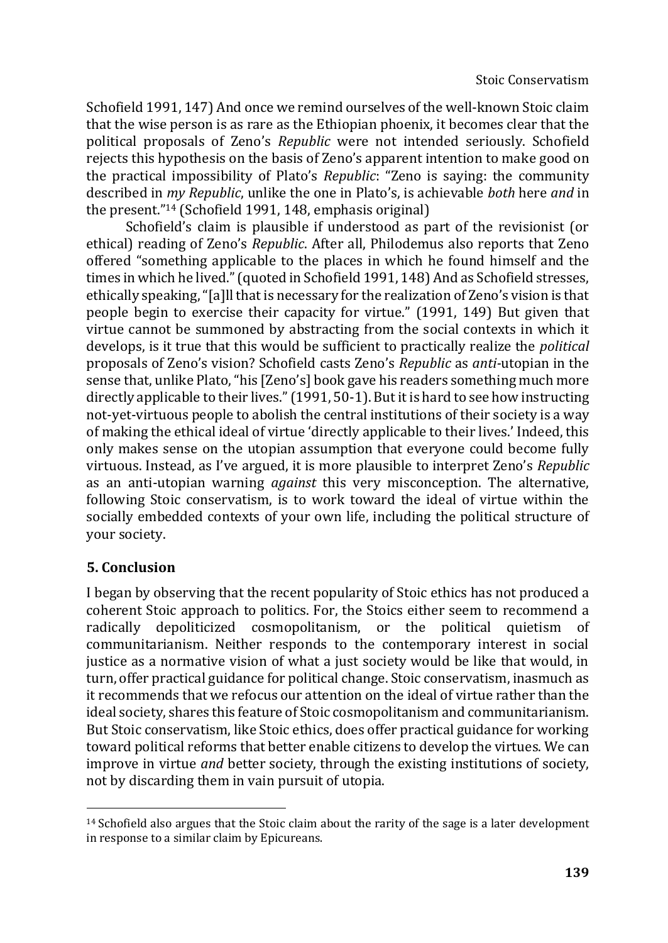Schofield 1991, 147) And once we remind ourselves of the well-known Stoic claim that the wise person is as rare as the Ethiopian phoenix, it becomes clear that the political proposals of Zeno's *Republic* were not intended seriously. Schofield rejects this hypothesis on the basis of Zeno's apparent intention to make good on the practical impossibility of Plato's *Republic*: "Zeno is saying: the community described in *my Republic*, unlike the one in Plato's, is achievable *both* here *and* in the present."<sup>14</sup> (Schofield 1991, 148, emphasis original)

Schofield's claim is plausible if understood as part of the revisionist (or ethical) reading of Zeno's *Republic*. After all, Philodemus also reports that Zeno offered "something applicable to the places in which he found himself and the times in which he lived." (quoted in Schofield 1991, 148) And as Schofield stresses, ethically speaking, "[a]ll that is necessary for the realization of Zeno's vision is that people begin to exercise their capacity for virtue." (1991, 149) But given that virtue cannot be summoned by abstracting from the social contexts in which it develops, is it true that this would be sufficient to practically realize the *political*  proposals of Zeno's vision? Schofield casts Zeno's *Republic* as *anti-*utopian in the sense that, unlike Plato, "his [Zeno's] book gave his readers something much more directly applicable to their lives." (1991, 50-1). But it is hard to see how instructing not-yet-virtuous people to abolish the central institutions of their society is a way of making the ethical ideal of virtue 'directly applicable to their lives.' Indeed, this only makes sense on the utopian assumption that everyone could become fully virtuous. Instead, as I've argued, it is more plausible to interpret Zeno's *Republic*  as an anti-utopian warning *against* this very misconception. The alternative, following Stoic conservatism, is to work toward the ideal of virtue within the socially embedded contexts of your own life, including the political structure of your society.

## **5. Conclusion**

I began by observing that the recent popularity of Stoic ethics has not produced a coherent Stoic approach to politics. For, the Stoics either seem to recommend a radically depoliticized cosmopolitanism, or the political quietism of communitarianism. Neither responds to the contemporary interest in social justice as a normative vision of what a just society would be like that would, in turn, offer practical guidance for political change. Stoic conservatism, inasmuch as it recommends that we refocus our attention on the ideal of virtue rather than the ideal society, shares this feature of Stoic cosmopolitanism and communitarianism. But Stoic conservatism, like Stoic ethics, does offer practical guidance for working toward political reforms that better enable citizens to develop the virtues. We can improve in virtue *and* better society, through the existing institutions of society, not by discarding them in vain pursuit of utopia.

<sup>&</sup>lt;sup>14</sup> Schofield also argues that the Stoic claim about the rarity of the sage is a later development in response to a similar claim by Epicureans.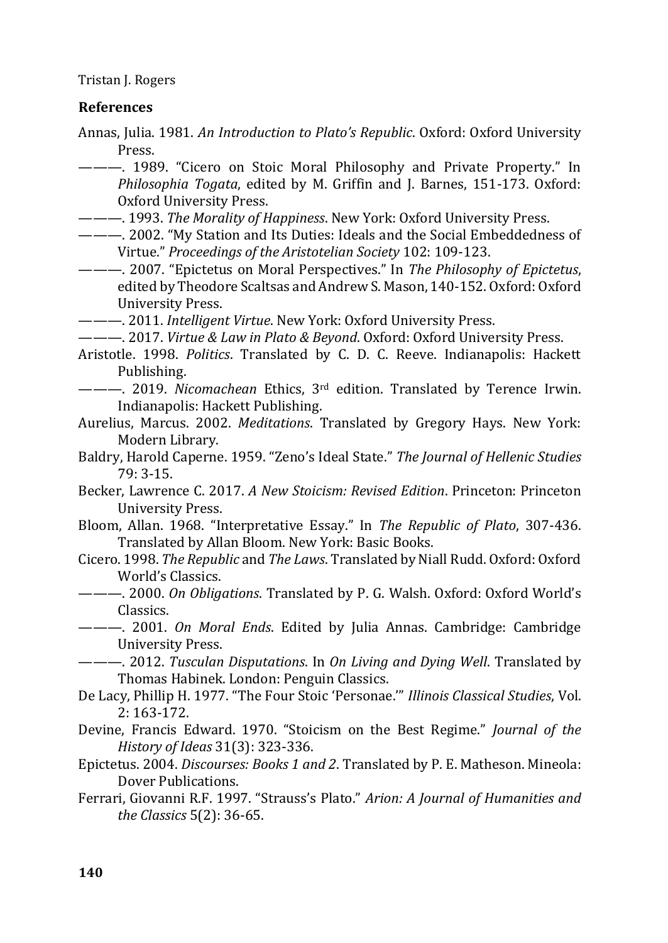#### **References**

Annas, Julia. 1981. *An Introduction to Plato's Republic*. Oxford: Oxford University Press.

--- 1989. "Cicero on Stoic Moral Philosophy and Private Property." In *Philosophia Togata*, edited by M. Griffin and J. Barnes, 151-173. Oxford: Oxford University Press.

- ———. 1993. *The Morality of Happiness*. New York: Oxford University Press.
- ———. 2002. "My Station and Its Duties: Ideals and the Social Embeddedness of Virtue." *Proceedings of the Aristotelian Society* 102: 109-123.
- ———. 2007. "Epictetus on Moral Perspectives." In *The Philosophy of Epictetus*, edited by Theodore Scaltsas and Andrew S. Mason, 140-152. Oxford: Oxford University Press.

———. 2011. *Intelligent Virtue*. New York: Oxford University Press.

———. 2017. *Virtue & Law in Plato & Beyond*. Oxford: Oxford University Press.

- Aristotle. 1998. *Politics*. Translated by C. D. C. Reeve. Indianapolis: Hackett Publishing.
- ———. 2019. *Nicomachean* Ethics, 3rd edition. Translated by Terence Irwin. Indianapolis: Hackett Publishing.
- Aurelius, Marcus. 2002. *Meditations*. Translated by Gregory Hays. New York: Modern Library.
- Baldry, Harold Caperne. 1959. "Zeno's Ideal State." *The Journal of Hellenic Studies* 79: 3-15.
- Becker, Lawrence C. 2017. *A New Stoicism: Revised Edition*. Princeton: Princeton University Press.
- Bloom, Allan. 1968. "Interpretative Essay." In *The Republic of Plato*, 307-436. Translated by Allan Bloom. New York: Basic Books.
- Cicero. 1998. *The Republic* and *The Laws*. Translated by Niall Rudd. Oxford: Oxford World's Classics.
- ———. 2000. *On Obligations*. Translated by P. G. Walsh. Oxford: Oxford World's Classics.
- ———. 2001. *On Moral Ends*. Edited by Julia Annas. Cambridge: Cambridge University Press.

———. 2012. *Tusculan Disputations*. In *On Living and Dying Well*. Translated by Thomas Habinek. London: Penguin Classics.

- De Lacy, Phillip H. 1977. "The Four Stoic 'Personae.'" *Illinois Classical Studies*, Vol. 2: 163-172.
- Devine, Francis Edward. 1970. "Stoicism on the Best Regime." *Journal of the History of Ideas* 31(3): 323-336.
- Epictetus. 2004. *Discourses: Books 1 and 2*. Translated by P. E. Matheson. Mineola: Dover Publications.
- Ferrari, Giovanni R.F. 1997. "Strauss's Plato." *Arion: A Journal of Humanities and the Classics* 5(2): 36-65.